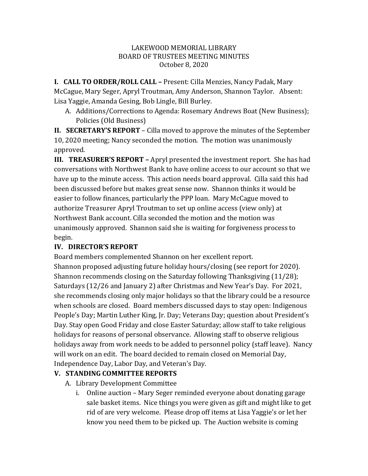## LAKEWOOD MEMORIAL LIBRARY BOARD OF TRUSTEES MEETING MINUTES October 8, 2020

**I. CALL TO ORDER/ROLL CALL –** Present: Cilla Menzies, Nancy Padak, Mary McCague, Mary Seger, Apryl Troutman, Amy Anderson, Shannon Taylor. Absent: Lisa Yaggie, Amanda Gesing, Bob Lingle, Bill Burley.

A. Additions/Corrections to Agenda: Rosemary Andrews Boat (New Business); Policies (Old Business)

**II. SECRETARY'S REPORT** – Cilla moved to approve the minutes of the September 10, 2020 meeting; Nancy seconded the motion. The motion was unanimously approved.

**III. TREASURER'S REPORT** – Apryl presented the investment report. She has had conversations with Northwest Bank to have online access to our account so that we have up to the minute access. This action needs board approval. Cilla said this had been discussed before but makes great sense now. Shannon thinks it would be easier to follow finances, particularly the PPP loan. Mary McCague moved to authorize Treasurer Apryl Troutman to set up online access (view only) at Northwest Bank account. Cilla seconded the motion and the motion was unanimously approved. Shannon said she is waiting for forgiveness process to begin.

## **IV. DIRECTOR'S REPORT**

Board members complemented Shannon on her excellent report. Shannon proposed adjusting future holiday hours/closing (see report for 2020). Shannon recommends closing on the Saturday following Thanksgiving  $(11/28)$ ; Saturdays (12/26 and January 2) after Christmas and New Year's Day. For 2021, she recommends closing only major holidays so that the library could be a resource when schools are closed. Board members discussed days to stay open: Indigenous People's Day; Martin Luther King, Jr. Day; Veterans Day; question about President's Day. Stay open Good Friday and close Easter Saturday; allow staff to take religious holidays for reasons of personal observance. Allowing staff to observe religious holidays away from work needs to be added to personnel policy (staff leave). Nancy will work on an edit. The board decided to remain closed on Memorial Day, Independence Day, Labor Day, and Veteran's Day.

## **V. STANDING COMMITTEE REPORTS**

- A. Library Development Committee
	- i. Online auction Mary Seger reminded everyone about donating garage sale basket items. Nice things you were given as gift and might like to get rid of are very welcome. Please drop off items at Lisa Yaggie's or let her know you need them to be picked up. The Auction website is coming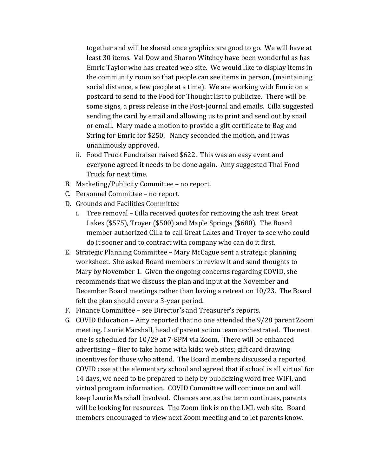together and will be shared once graphics are good to go. We will have at least 30 items. Val Dow and Sharon Witchey have been wonderful as has Emric Taylor who has created web site. We would like to display items in the community room so that people can see items in person, (maintaining social distance, a few people at a time). We are working with Emric on a postcard to send to the Food for Thought list to publicize. There will be some signs, a press release in the Post-Journal and emails. Cilla suggested sending the card by email and allowing us to print and send out by snail or email. Mary made a motion to provide a gift certificate to Bag and String for Emric for \$250. Nancy seconded the motion, and it was unanimously approved.

- ii. Food Truck Fundraiser raised \$622. This was an easy event and everyone agreed it needs to be done again. Amy suggested Thai Food Truck for next time.
- B. Marketing/Publicity Committee no report.
- C. Personnel Committee no report.
- D. Grounds and Facilities Committee
	- i. Tree removal Cilla received quotes for removing the ash tree: Great Lakes (\$575), Troyer (\$500) and Maple Springs (\$680). The Board member authorized Cilla to call Great Lakes and Troyer to see who could do it sooner and to contract with company who can do it first.
- E. Strategic Planning Committee Mary McCague sent a strategic planning worksheet. She asked Board members to review it and send thoughts to Mary by November 1. Given the ongoing concerns regarding COVID, she recommends that we discuss the plan and input at the November and December Board meetings rather than having a retreat on 10/23. The Board felt the plan should cover a 3-year period.
- F. Finance Committee see Director's and Treasurer's reports.
- G. COVID Education Amy reported that no one attended the 9/28 parent Zoom meeting. Laurie Marshall, head of parent action team orchestrated. The next one is scheduled for 10/29 at 7-8PM via Zoom. There will be enhanced advertising – flier to take home with kids; web sites; gift card drawing incentives for those who attend. The Board members discussed a reported COVID case at the elementary school and agreed that if school is all virtual for 14 days, we need to be prepared to help by publicizing word free WIFI, and virtual program information. COVID Committee will continue on and will keep Laurie Marshall involved. Chances are, as the term continues, parents will be looking for resources. The Zoom link is on the LML web site. Board members encouraged to view next Zoom meeting and to let parents know.